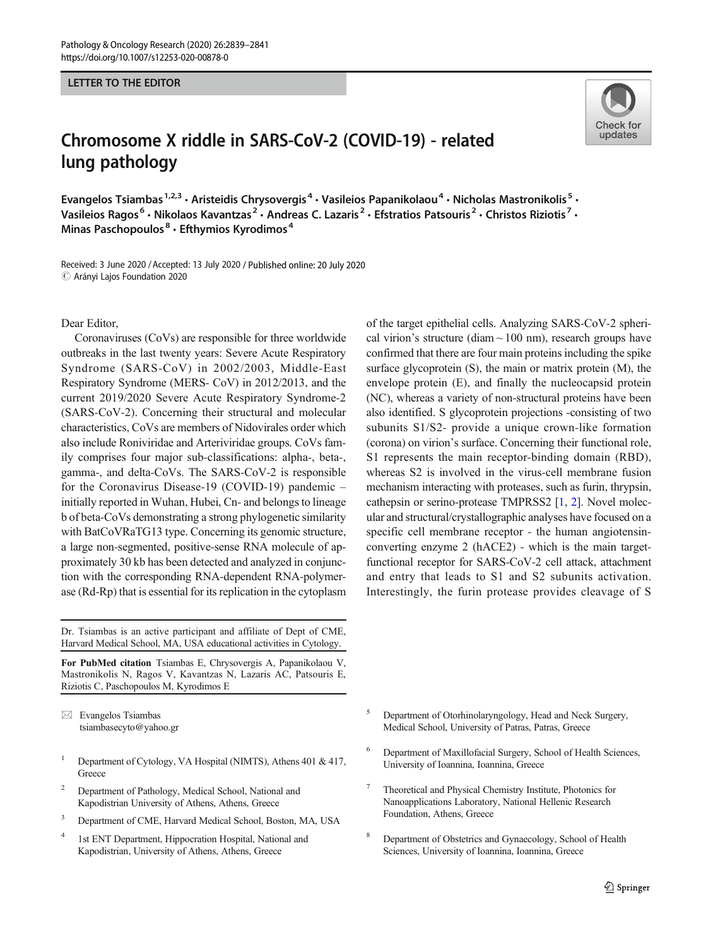## LETTER TO THE EDITOR

## Chromosome X riddle in SARS-CoV-2 (COVID-19) - related lung pathology

Evangelos Tsiambas<sup>1,2,3</sup> • Aristeidis Chrysovergis<sup>4</sup> • Vasileios Papanikolaou<sup>4</sup> • Nicholas Mastronikolis<sup>5</sup> • Vasileios Ragos<sup>6</sup> • Nikolaos Kavantzas<sup>2</sup> • Andreas C. Lazaris<sup>2</sup> • Efstratios Patsouris<sup>2</sup> • Christos Riziotis<sup>7</sup> • Minas Paschopoulos $8 \cdot$  Efthymios Kyrodimos $4$ 

Received: 3 June 2020 / Accepted: 13 July 2020 / Published online: 20 July 2020  $\odot$  Arányi Lajos Foundation 2020

Dear Editor,

Coronaviruses (CoVs) are responsible for three worldwide outbreaks in the last twenty years: Severe Acute Respiratory Syndrome (SARS-CoV) in 2002/2003, Middle-East Respiratory Syndrome (MERS- CoV) in 2012/2013, and the current 2019/2020 Severe Acute Respiratory Syndrome-2 (SARS-CoV-2). Concerning their structural and molecular characteristics, CoVs are members of Nidovirales order which also include Roniviridae and Arteriviridae groups. CoVs family comprises four major sub-classifications: alpha-, beta-, gamma-, and delta-CoVs. The SARS-CoV-2 is responsible for the Coronavirus Disease-19 (COVID-19) pandemic – initially reported in Wuhan, Hubei, Cn- and belongs to lineage b of beta-CoVs demonstrating a strong phylogenetic similarity with BatCoVRaTG13 type. Concerning its genomic structure, a large non-segmented, positive-sense RNA molecule of approximately 30 kb has been detected and analyzed in conjunction with the corresponding RNA-dependent RNA-polymerase (Rd-Rp) that is essential for its replication in the cytoplasm

Dr. Tsiambas is an active participant and affiliate of Dept of CME, Harvard Medical School, MA, USA educational activities in Cytology.

For PubMed citation Tsiambas E, Chrysovergis A, Papanikolaou V, Mastronikolis N, Ragos V, Kavantzas N, Lazaris AC, Patsouris E, Riziotis C, Paschopoulos M, Kyrodimos E

 $\boxtimes$  Evangelos Tsiambas [tsiambasecyto@yahoo.gr](mailto:tsiambasecyto@yahoo.gr)

- <sup>1</sup> Department of Cytology, VA Hospital (NIMTS), Athens 401 & 417, **Greece**
- <sup>2</sup> Department of Pathology, Medical School, National and Kapodistrian University of Athens, Athens, Greece
- <sup>3</sup> Department of CME, Harvard Medical School, Boston, MA, USA
- <sup>4</sup> 1st ENT Department, Hippocration Hospital, National and Kapodistrian, University of Athens, Athens, Greece

of the target epithelial cells. Analyzing SARS-CoV-2 spherical virion's structure (diam  $\sim$  100 nm), research groups have confirmed that there are four main proteins including the spike surface glycoprotein (S), the main or matrix protein (M), the envelope protein (E), and finally the nucleocapsid protein (NC), whereas a variety of non-structural proteins have been also identified. S glycoprotein projections -consisting of two subunits S1/S2- provide a unique crown-like formation (corona) on virion's surface. Concerning their functional role, S1 represents the main receptor-binding domain (RBD), whereas S2 is involved in the virus-cell membrane fusion mechanism interacting with proteases, such as furin, thrypsin, cathepsin or serino-protease TMPRSS2 [[1,](#page-2-0) [2](#page-2-0)]. Novel molecular and structural/crystallographic analyses have focused on a specific cell membrane receptor - the human angiotensinconverting enzyme 2 (hACE2) - which is the main targetfunctional receptor for SARS-CoV-2 cell attack, attachment and entry that leads to S1 and S2 subunits activation. Interestingly, the furin protease provides cleavage of S

- <sup>5</sup> Department of Otorhinolaryngology, Head and Neck Surgery, Medical School, University of Patras, Patras, Greece
- Department of Maxillofacial Surgery, School of Health Sciences, University of Ioannina, Ioannina, Greece
- <sup>7</sup> Theoretical and Physical Chemistry Institute, Photonics for Nanoapplications Laboratory, National Hellenic Research Foundation, Athens, Greece
- <sup>8</sup> Department of Obstetrics and Gynaecology, School of Health Sciences, University of Ioannina, Ioannina, Greece

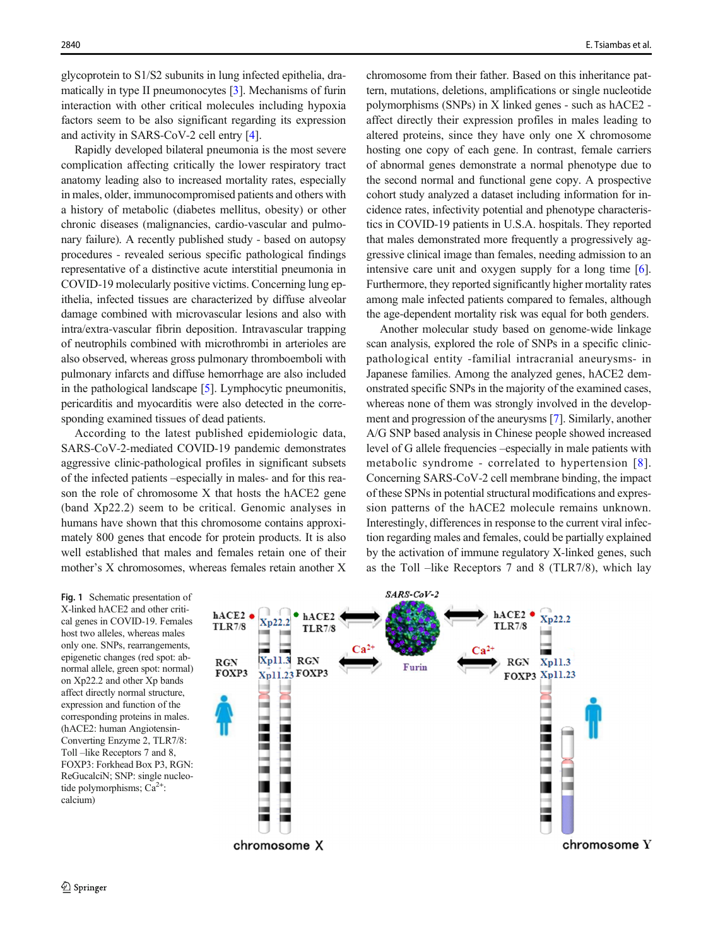<span id="page-1-0"></span>glycoprotein to S1/S2 subunits in lung infected epithelia, dramatically in type II pneumonocytes [[3\]](#page-2-0). Mechanisms of furin interaction with other critical molecules including hypoxia factors seem to be also significant regarding its expression and activity in SARS-CoV-2 cell entry [\[4](#page-2-0)].

Rapidly developed bilateral pneumonia is the most severe complication affecting critically the lower respiratory tract anatomy leading also to increased mortality rates, especially in males, older, immunocompromised patients and others with a history of metabolic (diabetes mellitus, obesity) or other chronic diseases (malignancies, cardio-vascular and pulmonary failure). A recently published study - based on autopsy procedures - revealed serious specific pathological findings representative of a distinctive acute interstitial pneumonia in COVID-19 molecularly positive victims. Concerning lung epithelia, infected tissues are characterized by diffuse alveolar damage combined with microvascular lesions and also with intra/extra-vascular fibrin deposition. Intravascular trapping of neutrophils combined with microthrombi in arterioles are also observed, whereas gross pulmonary thromboemboli with pulmonary infarcts and diffuse hemorrhage are also included in the pathological landscape [[5\]](#page-2-0). Lymphocytic pneumonitis, pericarditis and myocarditis were also detected in the corresponding examined tissues of dead patients.

According to the latest published epidemiologic data, SARS-CoV-2-mediated COVID-19 pandemic demonstrates aggressive clinic-pathological profiles in significant subsets of the infected patients –especially in males- and for this reason the role of chromosome X that hosts the hACE2 gene (band Xp22.2) seem to be critical. Genomic analyses in humans have shown that this chromosome contains approximately 800 genes that encode for protein products. It is also well established that males and females retain one of their mother's X chromosomes, whereas females retain another X chromosome from their father. Based on this inheritance pattern, mutations, deletions, amplifications or single nucleotide polymorphisms (SNPs) in X linked genes - such as hACE2 affect directly their expression profiles in males leading to altered proteins, since they have only one X chromosome hosting one copy of each gene. In contrast, female carriers of abnormal genes demonstrate a normal phenotype due to the second normal and functional gene copy. A prospective cohort study analyzed a dataset including information for incidence rates, infectivity potential and phenotype characteristics in COVID-19 patients in U.S.A. hospitals. They reported that males demonstrated more frequently a progressively aggressive clinical image than females, needing admission to an intensive care unit and oxygen supply for a long time [[6\]](#page-2-0). Furthermore, they reported significantly higher mortality rates among male infected patients compared to females, although the age-dependent mortality risk was equal for both genders.

Another molecular study based on genome-wide linkage scan analysis, explored the role of SNPs in a specific clinicpathological entity -familial intracranial aneurysms- in Japanese families. Among the analyzed genes, hACE2 demonstrated specific SNPs in the majority of the examined cases, whereas none of them was strongly involved in the development and progression of the aneurysms [\[7](#page-2-0)]. Similarly, another A/G SNP based analysis in Chinese people showed increased level of G allele frequencies –especially in male patients with metabolic syndrome - correlated to hypertension [[8](#page-2-0)]. Concerning SARS-CoV-2 cell membrane binding, the impact of these SPNs in potential structural modifications and expression patterns of the hACE2 molecule remains unknown. Interestingly, differences in response to the current viral infection regarding males and females, could be partially explained by the activation of immune regulatory X-linked genes, such as the Toll –like Receptors 7 and 8 (TLR7/8), which lay

Fig. 1 Schematic presentation of X-linked hACE2 and other critical genes in COVID-19. Females host two alleles, whereas males only one. SNPs, rearrangements, epigenetic changes (red spot: abnormal allele, green spot: normal) on Xp22.2 and other Xp bands affect directly normal structure, expression and function of the corresponding proteins in males. (hACE2: human Angiotensin-Converting Enzyme 2, TLR7/8: Toll –like Receptors 7 and 8, FOXP3: Forkhead Box P3, RGN: ReGucalciN; SNP: single nucleotide polymorphisms;  $Ca^{2+}$ : calcium)